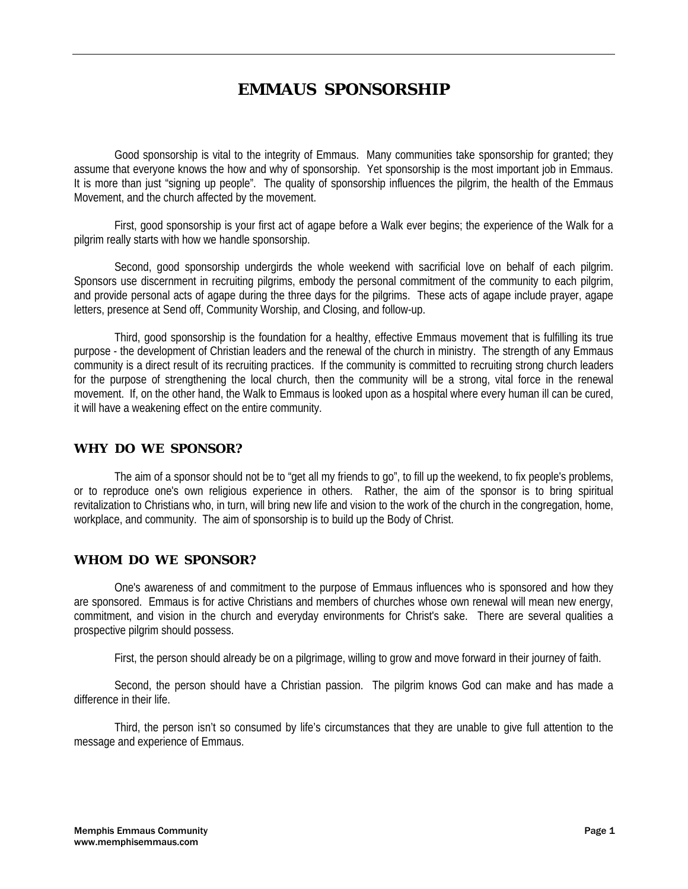# **EMMAUS SPONSORSHIP**

 Good sponsorship is vital to the integrity of Emmaus. Many communities take sponsorship for granted; they assume that everyone knows the how and why of sponsorship. Yet sponsorship is the most important job in Emmaus. It is more than just "signing up people". The quality of sponsorship influences the pilgrim, the health of the Emmaus Movement, and the church affected by the movement.

 First, good sponsorship is your first act of agape before a Walk ever begins; the experience of the Walk for a pilgrim really starts with how we handle sponsorship.

Second, good sponsorship undergirds the whole weekend with sacrificial love on behalf of each pilgrim. Sponsors use discernment in recruiting pilgrims, embody the personal commitment of the community to each pilgrim, and provide personal acts of agape during the three days for the pilgrims. These acts of agape include prayer, agape letters, presence at Send off, Community Worship, and Closing, and follow-up.

 Third, good sponsorship is the foundation for a healthy, effective Emmaus movement that is fulfilling its true purpose - the development of Christian leaders and the renewal of the church in ministry. The strength of any Emmaus community is a direct result of its recruiting practices. If the community is committed to recruiting strong church leaders for the purpose of strengthening the local church, then the community will be a strong, vital force in the renewal movement. If, on the other hand, the Walk to Emmaus is looked upon as a hospital where every human ill can be cured, it will have a weakening effect on the entire community.

## **WHY DO WE SPONSOR?**

 The aim of a sponsor should not be to "get all my friends to go", to fill up the weekend, to fix people's problems, or to reproduce one's own religious experience in others. Rather, the aim of the sponsor is to bring spiritual revitalization to Christians who, in turn, will bring new life and vision to the work of the church in the congregation, home, workplace, and community. The aim of sponsorship is to build up the Body of Christ.

#### **WHOM DO WE SPONSOR?**

 One's awareness of and commitment to the purpose of Emmaus influences who is sponsored and how they are sponsored. Emmaus is for active Christians and members of churches whose own renewal will mean new energy, commitment, and vision in the church and everyday environments for Christ's sake. There are several qualities a prospective pilgrim should possess.

First, the person should already be on a pilgrimage, willing to grow and move forward in their journey of faith.

 Second, the person should have a Christian passion. The pilgrim knows God can make and has made a difference in their life.

 Third, the person isn't so consumed by life's circumstances that they are unable to give full attention to the message and experience of Emmaus.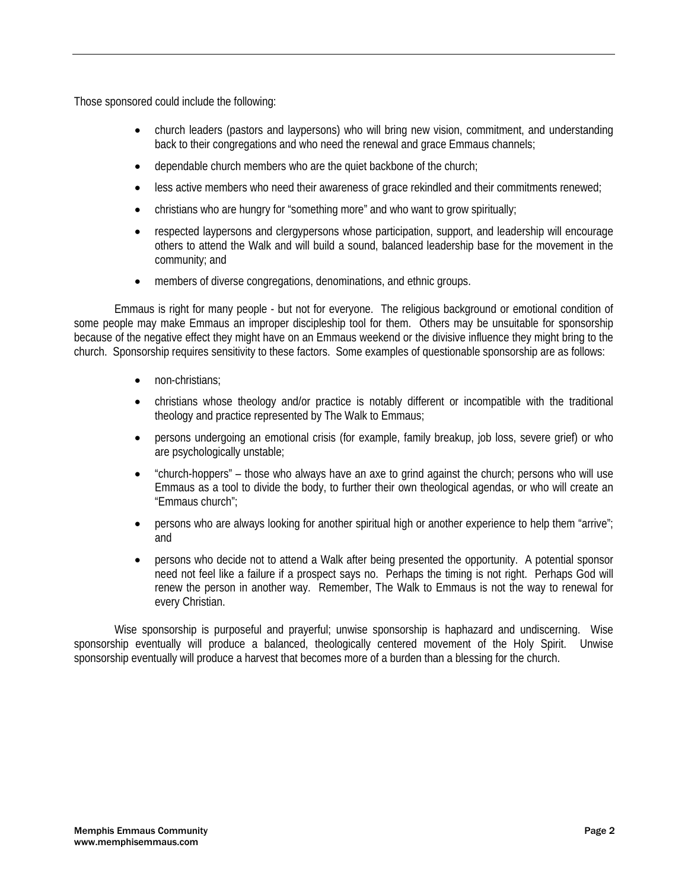Those sponsored could include the following:

- church leaders (pastors and laypersons) who will bring new vision, commitment, and understanding back to their congregations and who need the renewal and grace Emmaus channels;
- dependable church members who are the quiet backbone of the church;
- less active members who need their awareness of grace rekindled and their commitments renewed;
- christians who are hungry for "something more" and who want to grow spiritually;
- respected laypersons and clergypersons whose participation, support, and leadership will encourage others to attend the Walk and will build a sound, balanced leadership base for the movement in the community; and
- members of diverse congregations, denominations, and ethnic groups.

 Emmaus is right for many people - but not for everyone. The religious background or emotional condition of some people may make Emmaus an improper discipleship tool for them. Others may be unsuitable for sponsorship because of the negative effect they might have on an Emmaus weekend or the divisive influence they might bring to the church. Sponsorship requires sensitivity to these factors. Some examples of questionable sponsorship are as follows:

- non-christians;
- christians whose theology and/or practice is notably different or incompatible with the traditional theology and practice represented by The Walk to Emmaus;
- persons undergoing an emotional crisis (for example, family breakup, job loss, severe grief) or who are psychologically unstable;
- "church-hoppers" those who always have an axe to grind against the church; persons who will use Emmaus as a tool to divide the body, to further their own theological agendas, or who will create an "Emmaus church";
- persons who are always looking for another spiritual high or another experience to help them "arrive"; and
- persons who decide not to attend a Walk after being presented the opportunity. A potential sponsor need not feel like a failure if a prospect says no. Perhaps the timing is not right. Perhaps God will renew the person in another way. Remember, The Walk to Emmaus is not the way to renewal for every Christian.

 Wise sponsorship is purposeful and prayerful; unwise sponsorship is haphazard and undiscerning. Wise sponsorship eventually will produce a balanced, theologically centered movement of the Holy Spirit. Unwise sponsorship eventually will produce a harvest that becomes more of a burden than a blessing for the church.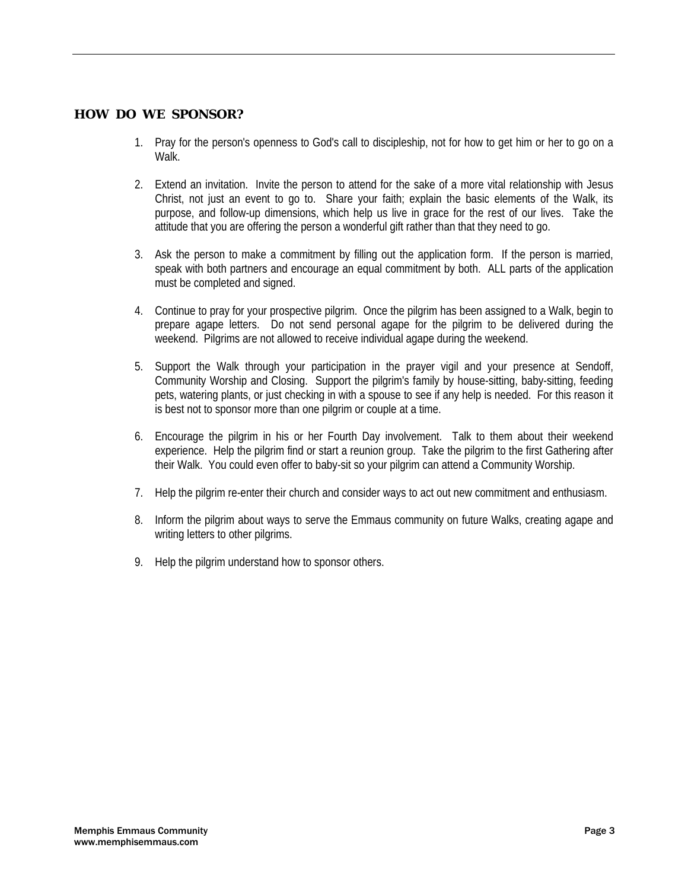#### **HOW DO WE SPONSOR?**

- 1. Pray for the person's openness to God's call to discipleship, not for how to get him or her to go on a Walk.
- 2. Extend an invitation. Invite the person to attend for the sake of a more vital relationship with Jesus Christ, not just an event to go to. Share your faith; explain the basic elements of the Walk, its purpose, and follow-up dimensions, which help us live in grace for the rest of our lives. Take the attitude that you are offering the person a wonderful gift rather than that they need to go.
- 3. Ask the person to make a commitment by filling out the application form. If the person is married, speak with both partners and encourage an equal commitment by both. ALL parts of the application must be completed and signed.
- 4. Continue to pray for your prospective pilgrim. Once the pilgrim has been assigned to a Walk, begin to prepare agape letters. Do not send personal agape for the pilgrim to be delivered during the weekend. Pilgrims are not allowed to receive individual agape during the weekend.
- 5. Support the Walk through your participation in the prayer vigil and your presence at Sendoff, Community Worship and Closing. Support the pilgrim's family by house-sitting, baby-sitting, feeding pets, watering plants, or just checking in with a spouse to see if any help is needed. For this reason it is best not to sponsor more than one pilgrim or couple at a time.
- 6. Encourage the pilgrim in his or her Fourth Day involvement. Talk to them about their weekend experience. Help the pilgrim find or start a reunion group. Take the pilgrim to the first Gathering after their Walk. You could even offer to baby-sit so your pilgrim can attend a Community Worship.
- 7. Help the pilgrim re-enter their church and consider ways to act out new commitment and enthusiasm.
- 8. Inform the pilgrim about ways to serve the Emmaus community on future Walks, creating agape and writing letters to other pilgrims.
- 9. Help the pilgrim understand how to sponsor others.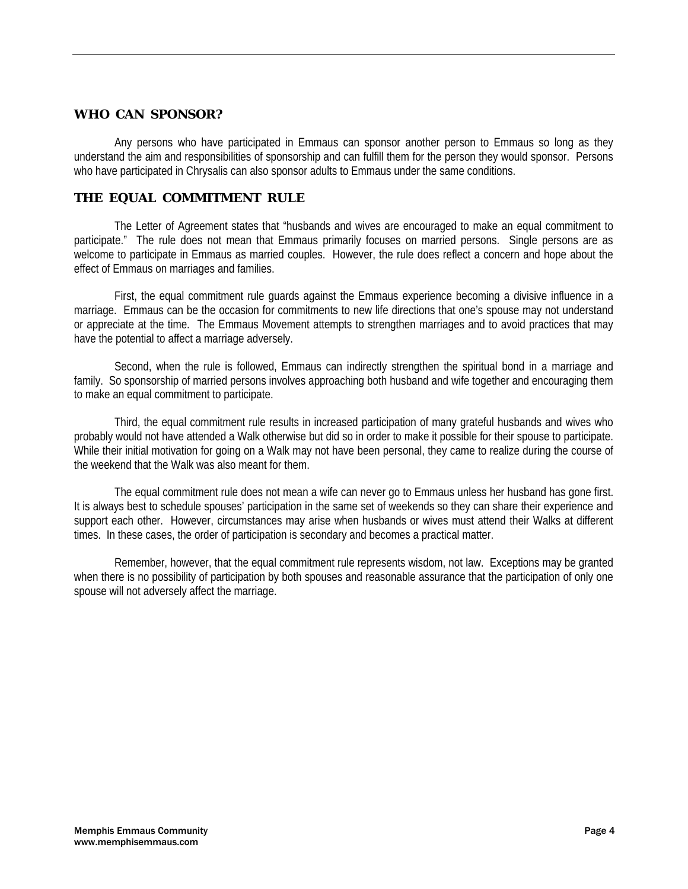#### **WHO CAN SPONSOR?**

 Any persons who have participated in Emmaus can sponsor another person to Emmaus so long as they understand the aim and responsibilities of sponsorship and can fulfill them for the person they would sponsor. Persons who have participated in Chrysalis can also sponsor adults to Emmaus under the same conditions.

## **THE EQUAL COMMITMENT RULE**

 The Letter of Agreement states that "husbands and wives are encouraged to make an equal commitment to participate." The rule does not mean that Emmaus primarily focuses on married persons. Single persons are as welcome to participate in Emmaus as married couples. However, the rule does reflect a concern and hope about the effect of Emmaus on marriages and families.

 First, the equal commitment rule guards against the Emmaus experience becoming a divisive influence in a marriage. Emmaus can be the occasion for commitments to new life directions that one's spouse may not understand or appreciate at the time. The Emmaus Movement attempts to strengthen marriages and to avoid practices that may have the potential to affect a marriage adversely.

 Second, when the rule is followed, Emmaus can indirectly strengthen the spiritual bond in a marriage and family. So sponsorship of married persons involves approaching both husband and wife together and encouraging them to make an equal commitment to participate.

 Third, the equal commitment rule results in increased participation of many grateful husbands and wives who probably would not have attended a Walk otherwise but did so in order to make it possible for their spouse to participate. While their initial motivation for going on a Walk may not have been personal, they came to realize during the course of the weekend that the Walk was also meant for them.

 The equal commitment rule does not mean a wife can never go to Emmaus unless her husband has gone first. It is always best to schedule spouses' participation in the same set of weekends so they can share their experience and support each other. However, circumstances may arise when husbands or wives must attend their Walks at different times. In these cases, the order of participation is secondary and becomes a practical matter.

 Remember, however, that the equal commitment rule represents wisdom, not law. Exceptions may be granted when there is no possibility of participation by both spouses and reasonable assurance that the participation of only one spouse will not adversely affect the marriage.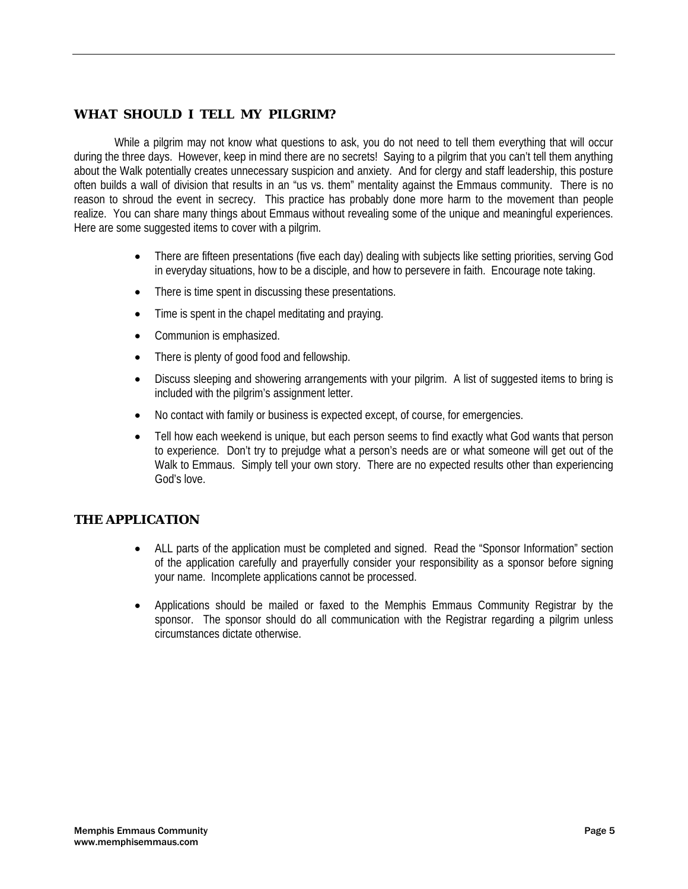# **WHAT SHOULD I TELL MY PILGRIM?**

 While a pilgrim may not know what questions to ask, you do not need to tell them everything that will occur during the three days. However, keep in mind there are no secrets! Saying to a pilgrim that you can't tell them anything about the Walk potentially creates unnecessary suspicion and anxiety. And for clergy and staff leadership, this posture often builds a wall of division that results in an "us vs. them" mentality against the Emmaus community. There is no reason to shroud the event in secrecy. This practice has probably done more harm to the movement than people realize. You can share many things about Emmaus without revealing some of the unique and meaningful experiences. Here are some suggested items to cover with a pilgrim.

- There are fifteen presentations (five each day) dealing with subjects like setting priorities, serving God in everyday situations, how to be a disciple, and how to persevere in faith. Encourage note taking.
- There is time spent in discussing these presentations.
- Time is spent in the chapel meditating and praying.
- Communion is emphasized.
- There is plenty of good food and fellowship.
- Discuss sleeping and showering arrangements with your pilgrim. A list of suggested items to bring is included with the pilgrim's assignment letter.
- No contact with family or business is expected except, of course, for emergencies.
- Tell how each weekend is unique, but each person seems to find exactly what God wants that person to experience. Don't try to prejudge what a person's needs are or what someone will get out of the Walk to Emmaus. Simply tell your own story. There are no expected results other than experiencing God's love.

## **THE APPLICATION**

- ALL parts of the application must be completed and signed. Read the "Sponsor Information" section of the application carefully and prayerfully consider your responsibility as a sponsor before signing your name. Incomplete applications cannot be processed.
- Applications should be mailed or faxed to the Memphis Emmaus Community Registrar by the sponsor. The sponsor should do all communication with the Registrar regarding a pilgrim unless circumstances dictate otherwise.